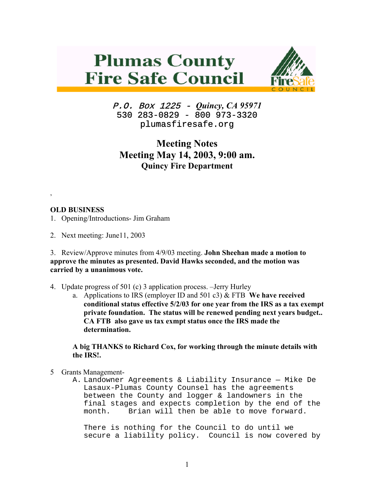## **Plumas County Fire Safe Council**



P.O. Box 1225 - *Quincy, CA 95971*  530 283-0829 - 800 973-3320 plumasfiresafe.org

## **Meeting Notes Meeting May 14, 2003, 9:00 am. Quincy Fire Department**

## **OLD BUSINESS**

,

- 1. Opening/Introductions- Jim Graham
- 2. Next meeting: June11, 2003

3. Review/Approve minutes from 4/9/03 meeting. **John Sheehan made a motion to approve the minutes as presented. David Hawks seconded, and the motion was carried by a unanimous vote.**

- 4. Update progress of 501 (c) 3 application process. –Jerry Hurley
	- a. Applications to IRS (employer ID and 501 c3) & FTB **We have received conditional status effective 5/2/03 for one year from the IRS as a tax exempt private foundation. The status will be renewed pending next years budget.. CA FTB also gave us tax exmpt status once the IRS made the determination.**

**A big THANKS to Richard Cox, for working through the minute details with the IRS!.**

- 5 Grants Management-
	- A. Landowner Agreements & Liability Insurance Mike De Lasaux-Plumas County Counsel has the agreements between the County and logger & landowners in the final stages and expects completion by the end of the month. Brian will then be able to move forward.

There is nothing for the Council to do until we secure a liability policy. Council is now covered by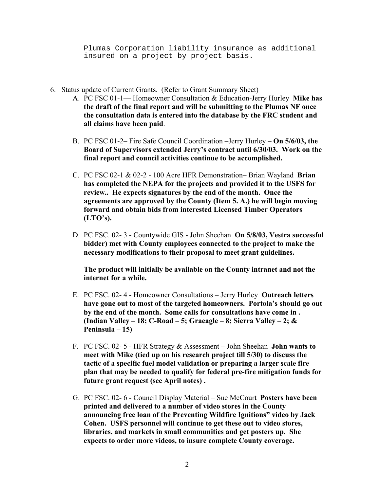Plumas Corporation liability insurance as additional insured on a project by project basis.

- 6. Status update of Current Grants. (Refer to Grant Summary Sheet)
	- A. PC FSC 01-1— Homeowner Consultation & Education-Jerry Hurley **Mike has the draft of the final report and will be submitting to the Plumas NF once the consultation data is entered into the database by the FRC student and all claims have been paid**.
	- B. PC FSC 01-2– Fire Safe Council Coordination –Jerry Hurley **On 5/6/03, the Board of Supervisors extended Jerry's contract until 6/30/03. Work on the final report and council activities continue to be accomplished.**
	- C. PC FSC 02-1 & 02-2 100 Acre HFR Demonstration– Brian Wayland **Brian has completed the NEPA for the projects and provided it to the USFS for review.. He expects signatures by the end of the month. Once the agreements are approved by the County (Item 5. A.) he will begin moving forward and obtain bids from interested Licensed Timber Operators (LTO's).**
	- D. PC FSC. 02- 3 Countywide GIS John Sheehan **On 5/8/03, Vestra successful bidder) met with County employees connected to the project to make the necessary modifications to their proposal to meet grant guidelines.**

**The product will initially be available on the County intranet and not the internet for a while.** 

- E. PC FSC. 02- 4 Homeowner Consultations Jerry Hurley **Outreach letters have gone out to most of the targeted homeowners. Portola's should go out by the end of the month. Some calls for consultations have come in . (Indian Valley – 18; C-Road – 5; Graeagle – 8; Sierra Valley – 2; & Peninsula – 15)**
- F. PC FSC. 02- 5 HFR Strategy & Assessment John Sheehan **John wants to meet with Mike (tied up on his research project till 5/30) to discuss the tactic of a specific fuel model validation or preparing a larger scale fire plan that may be needed to qualify for federal pre-fire mitigation funds for future grant request (see April notes) .**
- G. PC FSC. 02- 6 Council Display Material Sue McCourt **Posters have been printed and delivered to a number of video stores in the County announcing free loan of the Preventing Wildfire Ignitions" video by Jack Cohen. USFS personnel will continue to get these out to video stores, libraries, and markets in small communities and get posters up. She expects to order more videos, to insure complete County coverage.**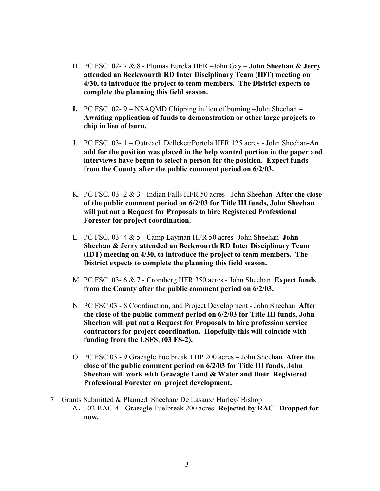- H. PC FSC. 02- 7 & 8 Plumas Eureka HFR –John Gay **John Sheehan & Jerry attended an Beckwourth RD Inter Disciplinary Team (IDT) meeting on 4/30, to introduce the project to team members. The District expects to complete the planning this field season.**
- **I.** PC FSC. 02- 9 NSAQMD Chipping in lieu of burning –John Sheehan **Awaiting application of funds to demonstration or other large projects to chip in lieu of burn.**
- J. PC FSC. 03- 1 Outreach Delleker/Portola HFR 125 acres John Sheehan**-An add for the position was placed in the help wanted portion in the paper and interviews have begun to select a person for the position. Expect funds from the County after the public comment period on 6/2/03.**
- K. PC FSC. 03- 2 & 3 Indian Falls HFR 50 acres John Sheehan **After the close of the public comment period on 6/2/03 for Title III funds, John Sheehan will put out a Request for Proposals to hire Registered Professional Forester for project coordination.**
- L. PC FSC. 03- 4 & 5 Camp Layman HFR 50 acres- John Sheehan **John Sheehan & Jerry attended an Beckwourth RD Inter Disciplinary Team (IDT) meeting on 4/30, to introduce the project to team members. The District expects to complete the planning this field season.**
- M. PC FSC. 03- 6 & 7 Cromberg HFR 350 acres John Sheehan **Expect funds from the County after the public comment period on 6/2/03.**
- N. PC FSC 03 8 Coordination, and Project Development John Sheehan **After the close of the public comment period on 6/2/03 for Title III funds, John Sheehan will put out a Request for Proposals to hire profession service contractors for project coordination. Hopefully this will coincide with funding from the USFS**, **(03 FS-2).**
- O. PC FSC 03 9 Graeagle Fuelbreak THP 200 acres John Sheehan **After the close of the public comment period on 6/2/03 for Title III funds, John Sheehan will work with Graeagle Land & Water and their Registered Professional Forester on project development.**
- 7 Grants Submitted & Planned–Sheehan/ De Lasaux/ Hurley/ Bishop
	- A. . 02-RAC-4 Graeagle Fuelbreak 200 acres- **Rejected by RAC –Dropped for now.**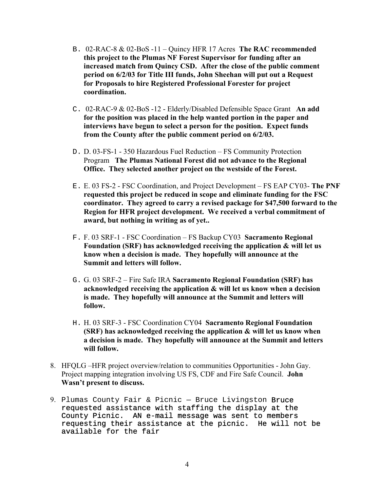- B. 02-RAC-8 & 02-BoS -11 Quincy HFR 17 Acres **The RAC recommended this project to the Plumas NF Forest Supervisor for funding after an increased match from Quincy CSD. After the close of the public comment period on 6/2/03 for Title III funds, John Sheehan will put out a Request for Proposals to hire Registered Professional Forester for project coordination.**
- C. 02-RAC-9 & 02-BoS -12 Elderly/Disabled Defensible Space Grant **An add for the position was placed in the help wanted portion in the paper and interviews have begun to select a person for the position. Expect funds from the County after the public comment period on 6/2/03.**
- D. D. 03-FS-1 350 Hazardous Fuel Reduction FS Community Protection Program **The Plumas National Forest did not advance to the Regional Office. They selected another project on the westside of the Forest.**
- E. E. 03 FS-2 FSC Coordination, and Project Development FS EAP CY03- **The PNF requested this project be reduced in scope and eliminate funding for the FSC coordinator. They agreed to carry a revised package for \$47,500 forward to the Region for HFR project development. We received a verbal commitment of award, but nothing in writing as of yet..**
- F. F. 03 SRF-1 FSC Coordination FS Backup CY03 **Sacramento Regional Foundation (SRF) has acknowledged receiving the application & will let us know when a decision is made. They hopefully will announce at the Summit and letters will follow.**
- G. G. 03 SRF-2 Fire Safe IRA **Sacramento Regional Foundation (SRF) has acknowledged receiving the application & will let us know when a decision is made. They hopefully will announce at the Summit and letters will follow.**
- H. H. 03 SRF-3 FSC Coordination CY04 **Sacramento Regional Foundation (SRF) has acknowledged receiving the application & will let us know when a decision is made. They hopefully will announce at the Summit and letters will follow.**
- 8. HFQLG –HFR project overview/relation to communities Opportunities John Gay. Project mapping integration involving US FS, CDF and Fire Safe Council. **John Wasn't present to discuss.**
- 9. Plumas County Fair & Picnic Bruce Livingston Bruce requested assistance with staffing the display at the County Picnic. AN e-mail message was sent to members requesting their assistance at the picnic. He will not be available for the fair